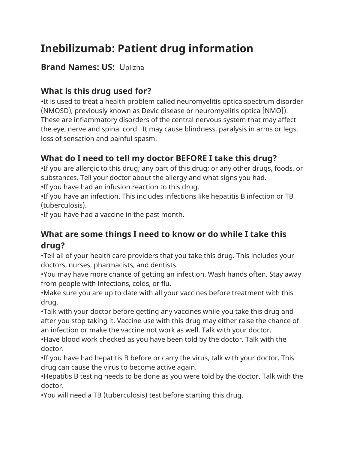# **Inebilizumab: Patient drug information**

#### **Brand Names: US:** Uplizna

# **What is this drug used for?**

•It is used to treat a health problem called neuromyelitis optica spectrum disorder (NMOSD), previously known as Devic disease or neuromyelitis optica [NMO]). These are inflammatory disorders of the central nervous system that may affect the eye, nerve and spinal cord. It may cause blindness, paralysis in arms or legs, loss of sensation and painful spasm.

# **What do I need to tell my doctor BEFORE I take this drug?**

•If you are allergic to this drug; any part of this drug; or any other drugs, foods, or substances. Tell your doctor about the allergy and what signs you had.

•If you have had an infusion reaction to this drug.

•If you have an infection. This includes infections like hepatitis B infection or TB (tuberculosis).

•If you have had a vaccine in the past month.

## **What are some things I need to know or do while I take this drug?**

•Tell all of your health care providers that you take this drug. This includes your doctors, nurses, pharmacists, and dentists.

•You may have more chance of getting an infection. Wash hands often. Stay away from people with infections, colds, or flu.

•Make sure you are up to date with all your vaccines before treatment with this drug.

•Talk with your doctor before getting any vaccines while you take this drug and after you stop taking it. Vaccine use with this drug may either raise the chance of an infection or make the vaccine not work as well. Talk with your doctor.

•Have blood work checked as you have been told by the doctor. Talk with the doctor.

•If you have had hepatitis B before or carry the virus, talk with your doctor. This drug can cause the virus to become active again.

•Hepatitis B testing needs to be done as you were told by the doctor. Talk with the doctor.

•You will need a TB (tuberculosis) test before starting this drug.